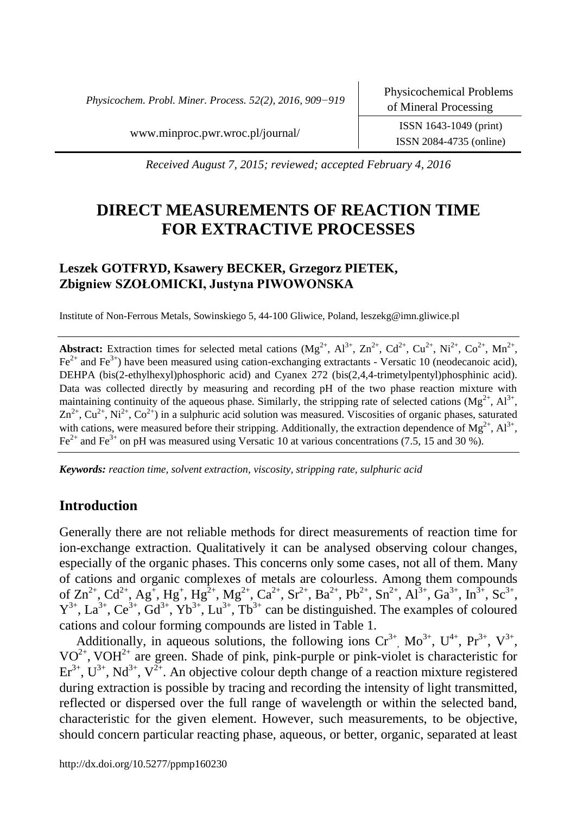*Physicochem. Probl. Miner. Process. 52(2), 2016, 909−919*

ISSN 2084-4735 (online)

www.minproc.pwr.wroc.pl/journal/ ISSN 1643-1049 (print)

*Received August 7, 2015; reviewed; accepted February 4, 2016*

# **DIRECT MEASUREMENTS OF REACTION TIME FOR EXTRACTIVE PROCESSES**

# **Leszek GOTFRYD, Ksawery BECKER, Grzegorz PIETEK, Zbigniew SZOŁOMICKI, Justyna PIWOWONSKA**

Institute of Non-Ferrous Metals, Sowinskiego 5, 44-100 Gliwice, Poland, leszekg@imn.gliwice.pl

**Abstract:** Extraction times for selected metal cations  $(Mg^{2+}, Al^{3+}, Zn^{2+}, Cd^{2+}, Cu^{2+}, Nu^{2+}, Co^{2+}, Mn^{2+}, Cn^{2+}, Nu^{2+}, Qu^{2+}, Nu^{2+}, Qu^{2+}, Nu^{2+}, Qu^{2+}, Nu^{2+}, Qu^{2+}, Nu^{2+}, Qu^{2+}, Nu^{2+}, Qu^{2+}, Nu^{2+}, Qu^{2+}, Nu^{2+}, Qu^{2+}, Nu^{2+}, Qu^{2+}, Qu^{2+}, Qu^{2+}, Qu^{2+}, Qu^{2+}, Qu^{2+}, Qu$  $Fe^{2+}$  and  $Fe^{3+}$ ) have been measured using cation-exchanging extractants - Versatic 10 (neodecanoic acid), DEHPA (bis(2-ethylhexyl)phosphoric acid) and Cyanex 272 (bis(2,4,4-trimetylpentyl)phosphinic acid). Data was collected directly by measuring and recording pH of the two phase reaction mixture with maintaining continuity of the aqueous phase. Similarly, the stripping rate of selected cations  $(Mg^{2+}, Al^{3+},$  $Zn^{2+}$ ,  $Cu^{2+}$ ,  $Ni^{2+}$ ,  $Co^{2+}$ ) in a sulphuric acid solution was measured. Viscosities of organic phases, saturated with cations, were measured before their stripping. Additionally, the extraction dependence of  $Mg^{2+}$ ,  $Al^{3+}$ ,  $Fe<sup>2+</sup>$  and Fe<sup>3+</sup> on pH was measured using Versatic 10 at various concentrations (7.5, 15 and 30 %).

*Keywords: reaction time, solvent extraction, viscosity, stripping rate, sulphuric acid*

# **Introduction**

Generally there are not reliable methods for direct measurements of reaction time for ion-exchange extraction. Qualitatively it can be analysed observing colour changes, especially of the organic phases. This concerns only some cases, not all of them. Many of cations and organic complexes of metals are colourless. Among them compounds of  $\text{Zn}^{2+}$ ,  $\text{Cd}^{2+}$ ,  $\text{Ag}^+$ ,  $\text{Hg}^{2+}$ ,  $\text{Mg}^{2+}$ ,  $\text{Ca}^{2+}$ ,  $\text{Sr}^{2+}$ ,  $\text{Ba}^{2+}$ ,  $\text{Sn}^{2+}$ ,  $\text{Al}^{3+}$ ,  $\text{Ga}^{3+}$ ,  $\text{In}^{3+}$ ,  $\text{Sc}^{3+}$ ,  $Y^{3+}$ , La<sup>3+</sup>, Ce<sup>3+</sup>, Gd<sup>3+</sup>, Yb<sup>3+</sup>, Lu<sup>3+</sup>, Tb<sup>3+</sup> can be distinguished. The examples of coloured cations and colour forming compounds are listed in Table 1.

Additionally, in aqueous solutions, the following ions  $Cr^{3+}$ ,  $Mo^{3+}$ ,  $U^{4+}$ ,  $Pr^{3+}$ ,  $V^{3+}$ ,  $VO^{2+}$ , VOH<sup>2+</sup> are green. Shade of pink, pink-purple or pink-violet is characteristic for  $\text{Er}^{3+}$ ,  $\text{U}^{3+}$ , Nd<sup>3+</sup>, V<sup>2+</sup>. An objective colour depth change of a reaction mixture registered during extraction is possible by tracing and recording the intensity of light transmitted, reflected or dispersed over the full range of wavelength or within the selected band, characteristic for the given element. However, such measurements, to be objective, should concern particular reacting phase, aqueous, or better, organic, separated at least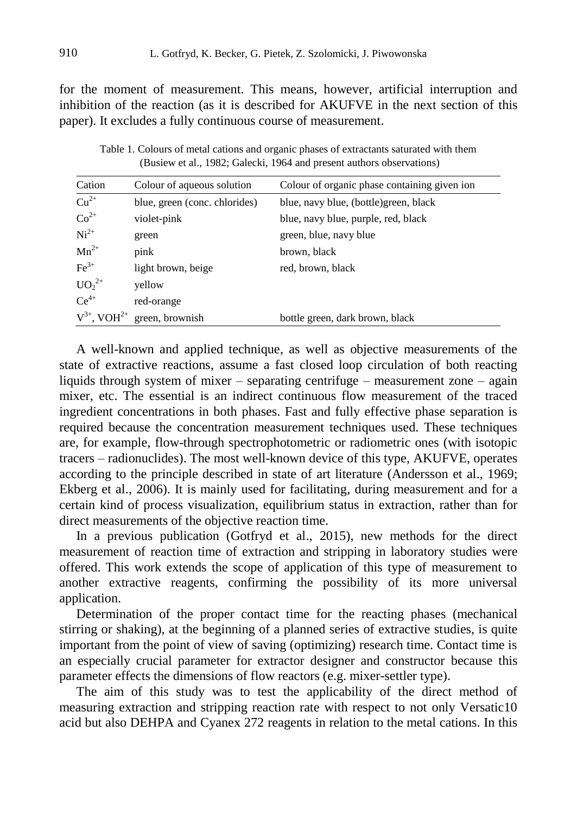for the moment of measurement. This means, however, artificial interruption and inhibition of the reaction (as it is described for AKUFVE in the next section of this paper). It excludes a fully continuous course of measurement.

Table 1. Colours of metal cations and organic phases of extractants saturated with them (Busiew et al., 1982; Galecki, 1964 and present authors observations)

| Cation                       | Colour of aqueous solution    | Colour of organic phase containing given ion |
|------------------------------|-------------------------------|----------------------------------------------|
| $Cu^{2+}$                    | blue, green (conc. chlorides) | blue, navy blue, (bottle) green, black       |
| $Co^{2+}$                    | violet-pink                   | blue, navy blue, purple, red, black          |
| $Ni2+$                       | green                         | green, blue, navy blue                       |
| $Mn^{2+}$                    | pink                          | brown, black                                 |
| $\text{Fe}^{3+}$             | light brown, beige            | red, brown, black                            |
| $UO_2^{2+}$                  | yellow                        |                                              |
| $Ce^{4+}$                    | red-orange                    |                                              |
| $V^{3+}$ , VOH <sup>2+</sup> | green, brownish               | bottle green, dark brown, black              |

A well-known and applied technique, as well as objective measurements of the state of extractive reactions, assume a fast closed loop circulation of both reacting liquids through system of mixer – separating centrifuge – measurement zone – again mixer, etc. The essential is an indirect continuous flow measurement of the traced ingredient concentrations in both phases. Fast and fully effective phase separation is required because the concentration measurement techniques used. These techniques are, for example, flow-through spectrophotometric or radiometric ones (with isotopic tracers – radionuclides). The most well-known device of this type, AKUFVE, operates according to the principle described in state of art literature (Andersson et al., 1969; Ekberg et al., 2006). It is mainly used for facilitating, during measurement and for a certain kind of process visualization, equilibrium status in extraction, rather than for direct measurements of the objective reaction time.

In a previous publication (Gotfryd et al., 2015), new methods for the direct measurement of reaction time of extraction and stripping in laboratory studies were offered. This work extends the scope of application of this type of measurement to another extractive reagents, confirming the possibility of its more universal application.

Determination of the proper contact time for the reacting phases (mechanical stirring or shaking), at the beginning of a planned series of extractive studies, is quite important from the point of view of saving (optimizing) research time. Contact time is an especially crucial parameter for extractor designer and constructor because this parameter effects the dimensions of flow reactors (e.g. mixer-settler type).

The aim of this study was to test the applicability of the direct method of measuring extraction and stripping reaction rate with respect to not only Versatic10 acid but also DEHPA and Cyanex 272 reagents in relation to the metal cations. In this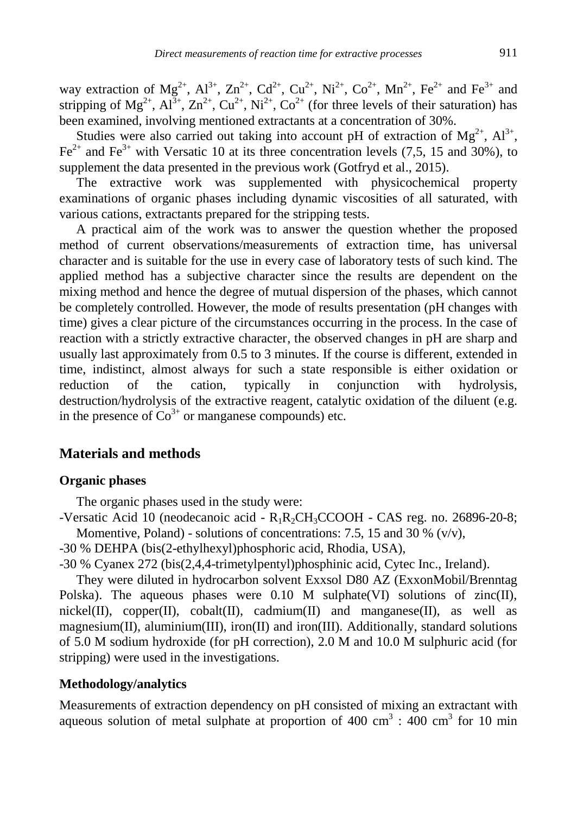way extraction of  $Mg^{2+}$ ,  $Al^{3+}$ ,  $Zn^{2+}$ ,  $Cd^{2+}$ ,  $Cu^{2+}$ ,  $Ni^{2+}$ ,  $Co^{2+}$ ,  $Mn^{2+}$ ,  $Fe^{2+}$  and  $Fe^{3+}$  and stripping of  $Mg^{2+}$ ,  $Al^{3+}$ ,  $Zn^{2+}$ ,  $Cu^{2+}$ ,  $Ni^{2+}$ ,  $Co^{2+}$  (for three levels of their saturation) has been examined, involving mentioned extractants at a concentration of 30%.

Studies were also carried out taking into account pH of extraction of  $Mg^{2+}$ ,  $Al^{3+}$ ,  $Fe<sup>2+</sup>$  and  $Fe<sup>3+</sup>$  with Versatic 10 at its three concentration levels (7,5, 15 and 30%), to supplement the data presented in the previous work (Gotfryd et al., 2015).

The extractive work was supplemented with physicochemical property examinations of organic phases including dynamic viscosities of all saturated, with various cations, extractants prepared for the stripping tests.

A practical aim of the work was to answer the question whether the proposed method of current observations/measurements of extraction time, has universal character and is suitable for the use in every case of laboratory tests of such kind. The applied method has a subjective character since the results are dependent on the mixing method and hence the degree of mutual dispersion of the phases, which cannot be completely controlled. However, the mode of results presentation (pH changes with time) gives a clear picture of the circumstances occurring in the process. In the case of reaction with a strictly extractive character, the observed changes in pH are sharp and usually last approximately from 0.5 to 3 minutes. If the course is different, extended in time, indistinct, almost always for such a state responsible is either oxidation or reduction of the cation, typically in conjunction with hydrolysis, destruction/hydrolysis of the extractive reagent, catalytic oxidation of the diluent (e.g. in the presence of  $Co<sup>3+</sup>$  or manganese compounds) etc.

### **Materials and methods**

#### **Organic phases**

The organic phases used in the study were:

-Versatic Acid 10 (neodecanoic acid - R1R2CH3CCOOH - CAS reg. no. 26896-20-8; Momentive, Poland) - solutions of concentrations: 7.5, 15 and 30 %  $(v/v)$ ,

-30 % DEHPA (bis(2-ethylhexyl)phosphoric acid, Rhodia, USA),

-30 % Cyanex 272 (bis(2,4,4-trimetylpentyl)phosphinic acid, Cytec Inc., Ireland).

They were diluted in hydrocarbon solvent Exxsol D80 AZ (ExxonMobil/Brenntag Polska). The aqueous phases were  $0.10$  M sulphate(VI) solutions of zinc(II), nickel(II), copper(II), cobalt(II), cadmium(II) and manganese(II), as well as magnesium(II), aluminium(III), iron(II) and iron(III). Additionally, standard solutions of 5.0 M sodium hydroxide (for pH correction), 2.0 M and 10.0 M sulphuric acid (for stripping) were used in the investigations.

#### **Methodology/analytics**

Measurements of extraction dependency on pH consisted of mixing an extractant with aqueous solution of metal sulphate at proportion of  $400 \text{ cm}^3$ :  $400 \text{ cm}^3$  for 10 min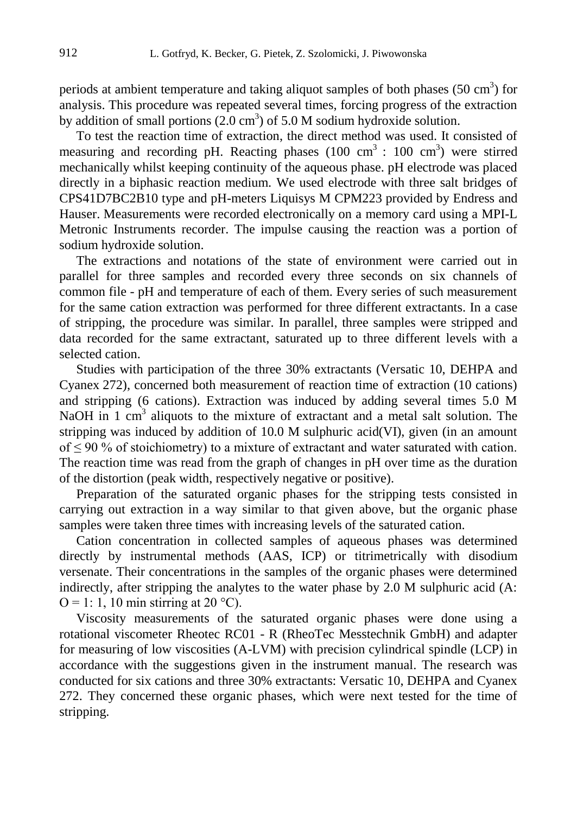periods at ambient temperature and taking aliquot samples of both phases  $(50 \text{ cm}^3)$  for analysis. This procedure was repeated several times, forcing progress of the extraction by addition of small portions  $(2.0 \text{ cm}^3)$  of 5.0 M sodium hydroxide solution.

To test the reaction time of extraction, the direct method was used. It consisted of measuring and recording pH. Reacting phases  $(100 \text{ cm}^3 : 100 \text{ cm}^3)$  were stirred mechanically whilst keeping continuity of the aqueous phase. pH electrode was placed directly in a biphasic reaction medium. We used electrode with three salt bridges of CPS41D7BC2B10 type and pH-meters Liquisys M CPM223 provided by Endress and Hauser. Measurements were recorded electronically on a memory card using a MPI-L Metronic Instruments recorder. The impulse causing the reaction was a portion of sodium hydroxide solution.

The extractions and notations of the state of environment were carried out in parallel for three samples and recorded every three seconds on six channels of common file - pH and temperature of each of them. Every series of such measurement for the same cation extraction was performed for three different extractants. In a case of stripping, the procedure was similar. In parallel, three samples were stripped and data recorded for the same extractant, saturated up to three different levels with a selected cation.

Studies with participation of the three 30% extractants (Versatic 10, DEHPA and Cyanex 272), concerned both measurement of reaction time of extraction (10 cations) and stripping (6 cations). Extraction was induced by adding several times 5.0 M NaOH in 1 cm<sup>3</sup> aliquots to the mixture of extractant and a metal salt solution. The stripping was induced by addition of 10.0 M sulphuric acid(VI), given (in an amount of  $\leq$  90 % of stoichiometry) to a mixture of extractant and water saturated with cation. The reaction time was read from the graph of changes in pH over time as the duration of the distortion (peak width, respectively negative or positive).

Preparation of the saturated organic phases for the stripping tests consisted in carrying out extraction in a way similar to that given above, but the organic phase samples were taken three times with increasing levels of the saturated cation.

Cation concentration in collected samples of aqueous phases was determined directly by instrumental methods (AAS, ICP) or titrimetrically with disodium versenate. Their concentrations in the samples of the organic phases were determined indirectly, after stripping the analytes to the water phase by 2.0 M sulphuric acid (A:  $Q = 1$ : 1, 10 min stirring at 20 °C).

Viscosity measurements of the saturated organic phases were done using a rotational viscometer Rheotec RC01 - R (RheoTec Messtechnik GmbH) and adapter for measuring of low viscosities (A-LVM) with precision cylindrical spindle (LCP) in accordance with the suggestions given in the instrument manual. The research was conducted for six cations and three 30% extractants: Versatic 10, DEHPA and Cyanex 272. They concerned these organic phases, which were next tested for the time of stripping.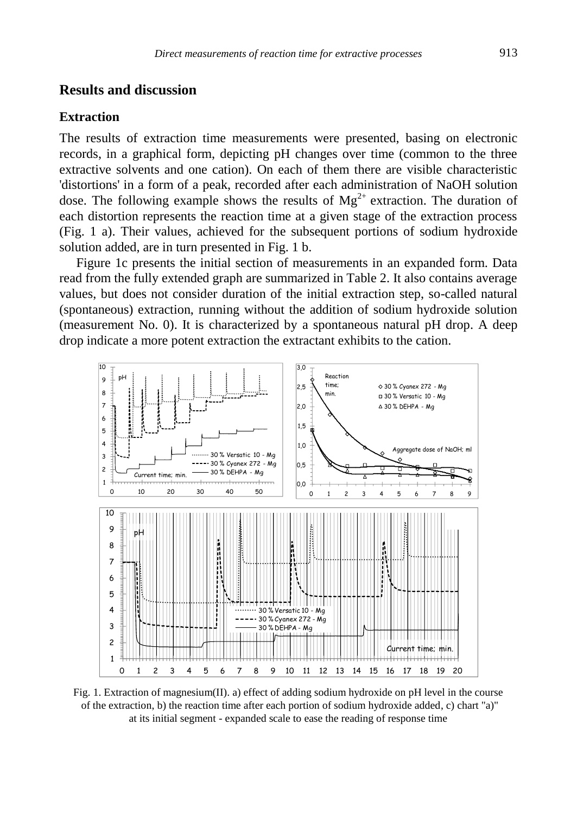# **Results and discussion**

#### **Extraction**

The results of extraction time measurements were presented, basing on electronic records, in a graphical form, depicting pH changes over time (common to the three extractive solvents and one cation). On each of them there are visible characteristic 'distortions' in a form of a peak, recorded after each administration of NaOH solution dose. The following example shows the results of  $Mg^{2+}$  extraction. The duration of each distortion represents the reaction time at a given stage of the extraction process (Fig. 1 a). Their values, achieved for the subsequent portions of sodium hydroxide solution added, are in turn presented in Fig. 1 b.

Figure 1c presents the initial section of measurements in an expanded form. Data read from the fully extended graph are summarized in Table 2. It also contains average values, but does not consider duration of the initial extraction step, so-called natural (spontaneous) extraction, running without the addition of sodium hydroxide solution (measurement No. 0). It is characterized by a spontaneous natural pH drop. A deep drop indicate a more potent extraction the extractant exhibits to the cation.



Fig. 1. Extraction of magnesium(II). a) effect of adding sodium hydroxide on pH level in the course of the extraction, b) the reaction time after each portion of sodium hydroxide added, c) chart "a)" at its initial segment - expanded scale to ease the reading of response time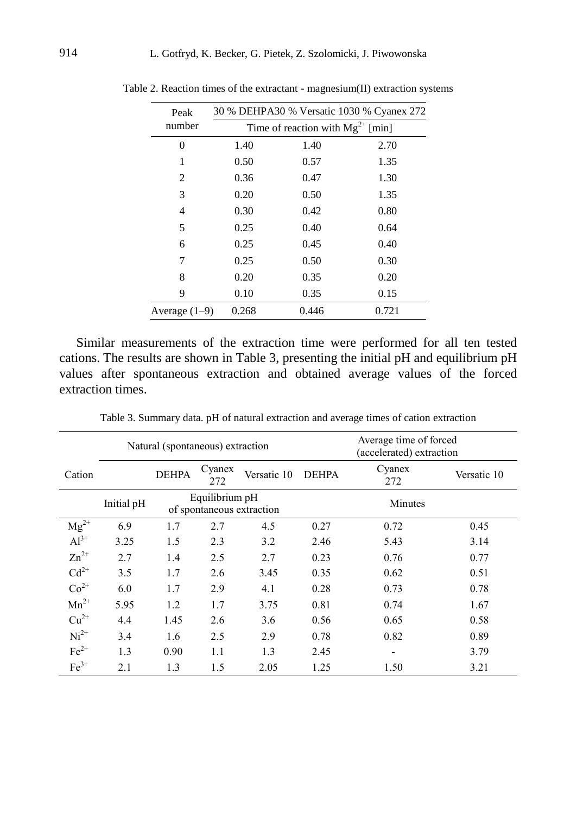| Peak            | 30 % DEHPA30 % Versatic 1030 % Cyanex 272 |                                       |       |  |  |  |  |  |
|-----------------|-------------------------------------------|---------------------------------------|-------|--|--|--|--|--|
| number          |                                           | Time of reaction with $Mg^{2+}$ [min] |       |  |  |  |  |  |
| 0               | 1.40                                      | 1.40                                  | 2.70  |  |  |  |  |  |
| 1               | 0.50                                      | 0.57                                  | 1.35  |  |  |  |  |  |
| 2               | 0.36                                      | 0.47                                  | 1.30  |  |  |  |  |  |
| 3               | 0.20                                      | 0.50                                  | 1.35  |  |  |  |  |  |
| 4               | 0.30                                      | 0.42                                  | 0.80  |  |  |  |  |  |
| 5               | 0.25                                      | 0.40                                  | 0.64  |  |  |  |  |  |
| 6               | 0.25                                      | 0.45                                  | 0.40  |  |  |  |  |  |
| 7               | 0.25                                      | 0.50                                  | 0.30  |  |  |  |  |  |
| 8               | 0.20                                      | 0.35                                  | 0.20  |  |  |  |  |  |
| 9               | 0.10                                      | 0.35                                  | 0.15  |  |  |  |  |  |
| Average $(1-9)$ | 0.268                                     | 0.446                                 | 0.721 |  |  |  |  |  |

Table 2. Reaction times of the extractant - magnesium(II) extraction systems

Similar measurements of the extraction time were performed for all ten tested cations. The results are shown in Table 3, presenting the initial pH and equilibrium pH values after spontaneous extraction and obtained average values of the forced extraction times.

|           |            | Natural (spontaneous) extraction |                                             |             |              | Average time of forced<br>(accelerated) extraction |             |
|-----------|------------|----------------------------------|---------------------------------------------|-------------|--------------|----------------------------------------------------|-------------|
| Cation    |            | <b>DEHPA</b>                     | Cyanex<br>272                               | Versatic 10 | <b>DEHPA</b> | Cyanex<br>272                                      | Versatic 10 |
|           | Initial pH |                                  | Equilibrium pH<br>of spontaneous extraction |             |              | Minutes                                            |             |
| $Mg^{2+}$ | 6.9        | 1.7                              | 2.7                                         | 4.5         | 0.27         | 0.72                                               | 0.45        |
| $Al^{3+}$ | 3.25       | 1.5                              | 2.3                                         | 3.2         | 2.46         | 5.43                                               | 3.14        |
| $Zn^{2+}$ | 2.7        | 1.4                              | 2.5                                         | 2.7         | 0.23         | 0.76                                               | 0.77        |
| $Cd^{2+}$ | 3.5        | 1.7                              | 2.6                                         | 3.45        | 0.35         | 0.62                                               | 0.51        |
| $Co2+$    | 6.0        | 1.7                              | 2.9                                         | 4.1         | 0.28         | 0.73                                               | 0.78        |
| $Mn^{2+}$ | 5.95       | 1.2                              | 1.7                                         | 3.75        | 0.81         | 0.74                                               | 1.67        |
| $Cu2+$    | 4.4        | 1.45                             | 2.6                                         | 3.6         | 0.56         | 0.65                                               | 0.58        |
| $Ni2+$    | 3.4        | 1.6                              | 2.5                                         | 2.9         | 0.78         | 0.82                                               | 0.89        |
| $Fe2+$    | 1.3        | 0.90                             | 1.1                                         | 1.3         | 2.45         | $\overline{\phantom{a}}$                           | 3.79        |
| $Fe3+$    | 2.1        | 1.3                              | 1.5                                         | 2.05        | 1.25         | 1.50                                               | 3.21        |

Table 3. Summary data. pH of natural extraction and average times of cation extraction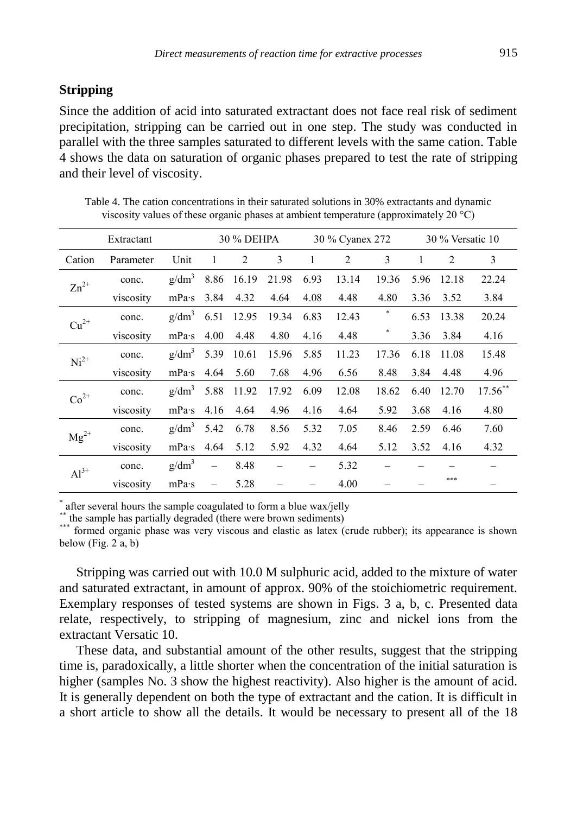# **Stripping**

Since the addition of acid into saturated extractant does not face real risk of sediment precipitation, stripping can be carried out in one step. The study was conducted in parallel with the three samples saturated to different levels with the same cation. Table 4 shows the data on saturation of organic phases prepared to test the rate of stripping and their level of viscosity.

| Extractant |           |                   |                          | 30 % DEHPA |       | 30 % Cyanex 272 |       |       | 30 % Versatic 10 |       |            |
|------------|-----------|-------------------|--------------------------|------------|-------|-----------------|-------|-------|------------------|-------|------------|
| Cation     | Parameter | Unit              | 1                        | 2          | 3     | 1               | 2     | 3     | 1                | 2     | 3          |
| $Zn^{2+}$  | conc.     | $g/dm^3$          | 8.86                     | 16.19      | 21.98 | 6.93            | 13.14 | 19.36 | 5.96             | 12.18 | 22.24      |
|            | viscosity | mPa·s             | 3.84                     | 4.32       | 4.64  | 4.08            | 4.48  | 4.80  | 3.36             | 3.52  | 3.84       |
| $Cu2+$     | conc.     | g/dm <sup>3</sup> | 6.51                     | 12.95      | 19.34 | 6.83            | 12.43 | *     | 6.53             | 13.38 | 20.24      |
|            | viscosity | mPa·s             | 4.00                     | 4.48       | 4.80  | 4.16            | 4.48  | *     | 3.36             | 3.84  | 4.16       |
| $Ni2+$     | conc.     | g/dm <sup>3</sup> | 5.39                     | 10.61      | 15.96 | 5.85            | 11.23 | 17.36 | 6.18             | 11.08 | 15.48      |
|            | viscosity | mPa·s             | 4.64                     | 5.60       | 7.68  | 4.96            | 6.56  | 8.48  | 3.84             | 4.48  | 4.96       |
| $Co2+$     | conc.     | $g/dm^3$          | 5.88                     | 11.92      | 17.92 | 6.09            | 12.08 | 18.62 | 6.40             | 12.70 | $17.56***$ |
|            | viscosity | mPa·s             | 4.16                     | 4.64       | 4.96  | 4.16            | 4.64  | 5.92  | 3.68             | 4.16  | 4.80       |
| $Mg^{2+}$  | conc.     | g/dm <sup>3</sup> | 5.42                     | 6.78       | 8.56  | 5.32            | 7.05  | 8.46  | 2.59             | 6.46  | 7.60       |
|            | viscosity | mPa·s             | 4.64                     | 5.12       | 5.92  | 4.32            | 4.64  | 5.12  | 3.52             | 4.16  | 4.32       |
| $Al^{3+}$  | conc.     | g/dm <sup>3</sup> | $\overline{\phantom{0}}$ | 8.48       |       |                 | 5.32  |       |                  |       |            |
|            | viscosity | mPa·s             | $\overline{\phantom{0}}$ | 5.28       |       |                 | 4.00  |       |                  | ***   |            |

Table 4. The cation concentrations in their saturated solutions in 30% extractants and dynamic viscosity values of these organic phases at ambient temperature (approximately 20 °C)

\* after several hours the sample coagulated to form a blue wax/jelly

\*\* the sample has partially degraded (there were brown sediments)

\*\*\* formed organic phase was very viscous and elastic as latex (crude rubber); its appearance is shown below (Fig.  $2a, b$ )

Stripping was carried out with 10.0 M sulphuric acid, added to the mixture of water and saturated extractant, in amount of approx. 90% of the stoichiometric requirement. Exemplary responses of tested systems are shown in Figs. 3 a, b, c. Presented data relate, respectively, to stripping of magnesium, zinc and nickel ions from the extractant Versatic 10.

These data, and substantial amount of the other results, suggest that the stripping time is, paradoxically, a little shorter when the concentration of the initial saturation is higher (samples No. 3 show the highest reactivity). Also higher is the amount of acid. It is generally dependent on both the type of extractant and the cation. It is difficult in a short article to show all the details. It would be necessary to present all of the 18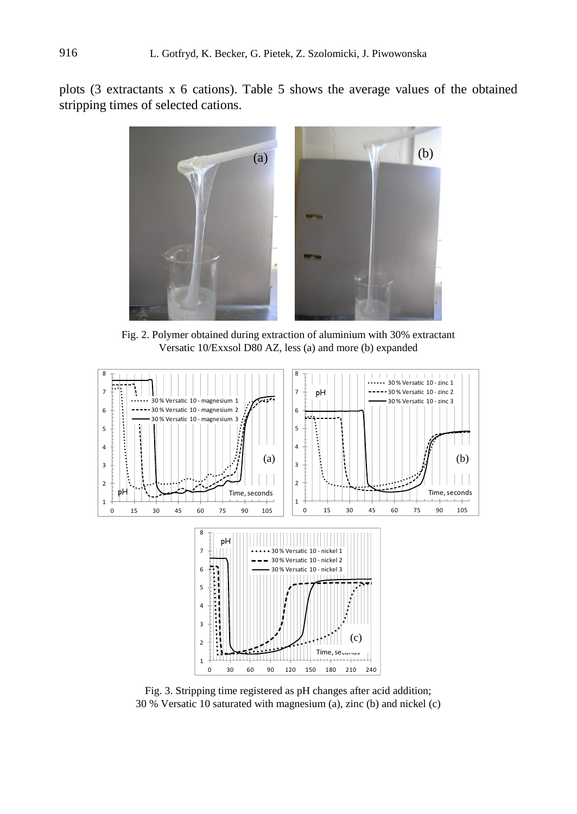plots (3 extractants x 6 cations). Table 5 shows the average values of the obtained stripping times of selected cations.



Fig. 2. Polymer obtained during extraction of aluminium with 30% extractant Versatic 10/Exxsol D80 AZ, less (a) and more (b) expanded



Fig. 3. Stripping time registered as pH changes after acid addition; 30 % Versatic 10 saturated with magnesium (a), zinc (b) and nickel (c)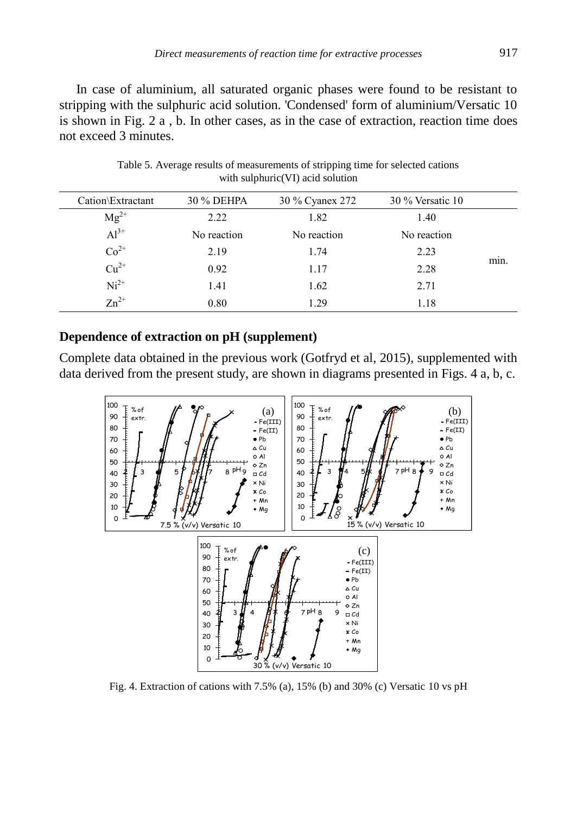In case of aluminium, all saturated organic phases were found to be resistant to stripping with the sulphuric acid solution. 'Condensed' form of aluminium/Versatic 10 is shown in Fig. 2 a , b. In other cases, as in the case of extraction, reaction time does not exceed 3 minutes.

| Cation\Extractant | 30 % DEHPA  | 30 % Cyanex 272 | $30\%$ Versatic 10 |      |
|-------------------|-------------|-----------------|--------------------|------|
| $Mg^{2+}$         | 2.22        | 1.82            | 1.40               |      |
| $Al^{3+}$         | No reaction | No reaction     | No reaction        |      |
| $Co2+$            | 2.19        | 1.74            | 2.23               |      |
| $Cu^{2+}$         | 0.92        | 1.17            | 2.28               | min. |
| $Ni2+$            | 1.41        | 1.62            | 2.71               |      |
| $Zn^{2+}$         | 0.80        | 1 29            | 1.18               |      |
|                   |             |                 |                    |      |

Table 5. Average results of measurements of stripping time for selected cations with sulphuric(VI) acid solution

## **Dependence of extraction on pH (supplement)**

Complete data obtained in the previous work (Gotfryd et al, 2015), supplemented with data derived from the present study, are shown in diagrams presented in Figs. 4 a, b, c.



Fig. 4. Extraction of cations with 7.5% (a), 15% (b) and 30% (c) Versatic 10 vs pH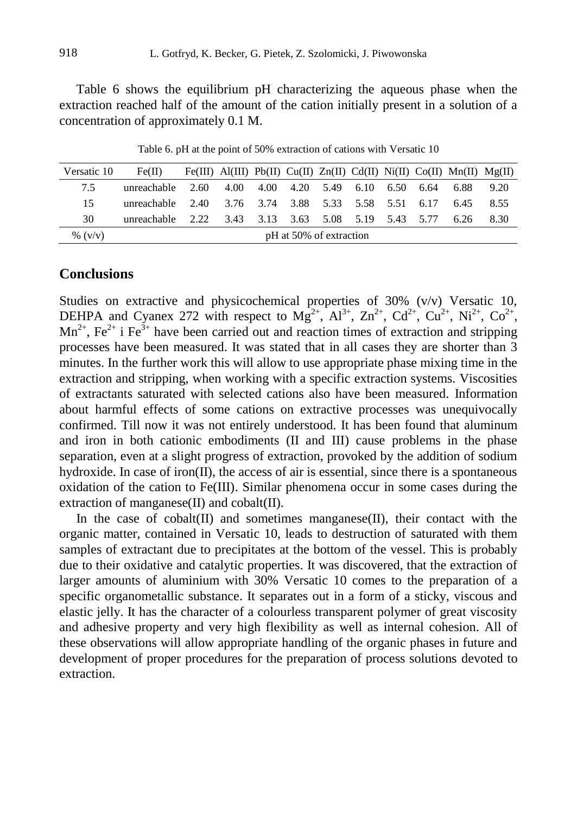Table 6 shows the equilibrium pH characterizing the aqueous phase when the extraction reached half of the amount of the cation initially present in a solution of a concentration of approximately 0.1 M.

| Versatic 10 | Fe(II)                                              |  |                                         |  |  |  |  |  |  | Fe(III) Al(III) Pb(II) Cu(II) Zn(II) Cd(II) Ni(II) Co(II) Mn(II) $Mg(II)$ |      |
|-------------|-----------------------------------------------------|--|-----------------------------------------|--|--|--|--|--|--|---------------------------------------------------------------------------|------|
| 7.5         | unreachable $2.60$                                  |  | 4.00 4.00 4.20 5.49 6.10 6.50 6.64 6.88 |  |  |  |  |  |  |                                                                           | 9.20 |
| 15          | unreachable 2.40 3.76 3.74 3.88 5.33 5.58 5.51 6.17 |  |                                         |  |  |  |  |  |  | 6.45                                                                      | 8.55 |
| 30          | unreachable 2.22 3.43 3.13 3.63 5.08 5.19 5.43 5.77 |  |                                         |  |  |  |  |  |  | - 6.26                                                                    | 8.30 |
| % $(v/v)$   | pH at 50% of extraction                             |  |                                         |  |  |  |  |  |  |                                                                           |      |

Table 6. pH at the point of 50% extraction of cations with Versatic 10

## **Conclusions**

Studies on extractive and physicochemical properties of 30% (v/v) Versatic 10, DEHPA and Cyanex 272 with respect to Mg<sup>2+</sup>, Al<sup>3+</sup>, Zn<sup>2+</sup>, Cd<sup>2+</sup>, Cu<sup>2+</sup>, Ni<sup>2+</sup>, Co<sup>2+</sup>,  $Mn^{2+}$ , Fe<sup>2+</sup> i Fe<sup>3+</sup> have been carried out and reaction times of extraction and stripping processes have been measured. It was stated that in all cases they are shorter than 3 minutes. In the further work this will allow to use appropriate phase mixing time in the extraction and stripping, when working with a specific extraction systems. Viscosities of extractants saturated with selected cations also have been measured. Information about harmful effects of some cations on extractive processes was unequivocally confirmed. Till now it was not entirely understood. It has been found that aluminum and iron in both cationic embodiments (II and III) cause problems in the phase separation, even at a slight progress of extraction, provoked by the addition of sodium hydroxide. In case of iron(II), the access of air is essential, since there is a spontaneous oxidation of the cation to Fe(III). Similar phenomena occur in some cases during the extraction of manganese(II) and cobalt(II).

In the case of cobalt $(II)$  and sometimes manganese $(II)$ , their contact with the organic matter, contained in Versatic 10, leads to destruction of saturated with them samples of extractant due to precipitates at the bottom of the vessel. This is probably due to their oxidative and catalytic properties. It was discovered, that the extraction of larger amounts of aluminium with 30% Versatic 10 comes to the preparation of a specific organometallic substance. It separates out in a form of a sticky, viscous and elastic jelly. It has the character of a colourless transparent polymer of great viscosity and adhesive property and very high flexibility as well as internal cohesion. All of these observations will allow appropriate handling of the organic phases in future and development of proper procedures for the preparation of process solutions devoted to extraction.